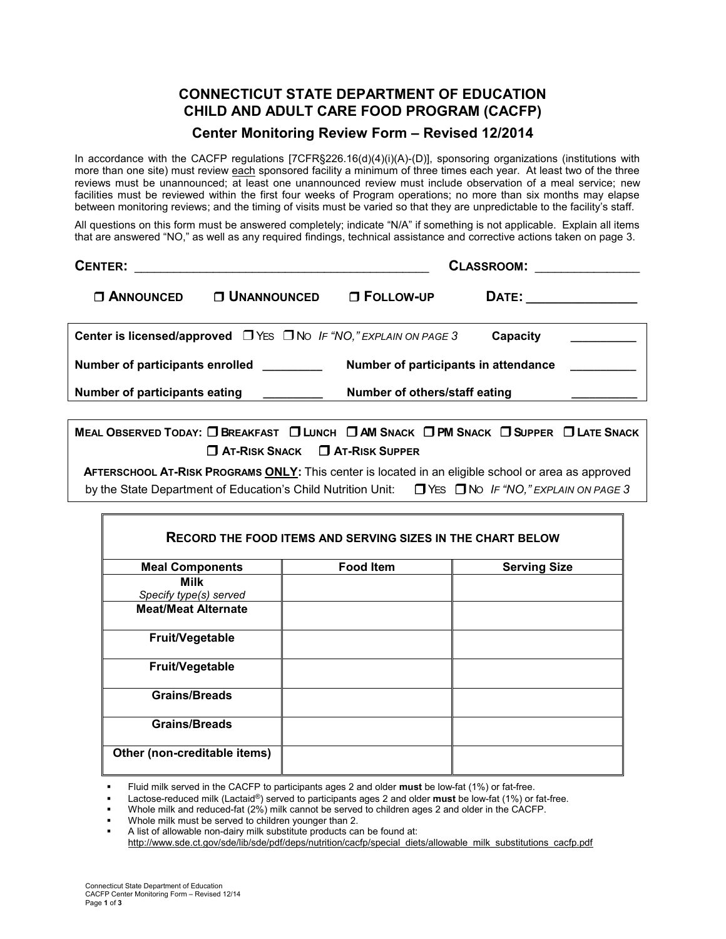## **CONNECTICUT STATE DEPARTMENT OF EDUCATION CHILD AND ADULT CARE FOOD PROGRAM (CACFP)**

## **Center Monitoring Review Form – Revised 12/2014**

In accordance with the CACFP regulations [7CFR§226.16(d)(4)(i)(A)-(D)], sponsoring organizations (institutions with more than one site) must review each sponsored facility a minimum of three times each year. At least two of the three reviews must be unannounced; at least one unannounced review must include observation of a meal service; new facilities must be reviewed within the first four weeks of Program operations; no more than six months may elapse between monitoring reviews; and the timing of visits must be varied so that they are unpredictable to the facility's staff.

All questions on this form must be answered completely; indicate "N/A" if something is not applicable. Explain all items that are answered "NO," as well as any required findings, technical assistance and corrective actions taken on page 3.

| <b>CENTER:</b>                                                          | the contract of the contract of the contract of the contract of the contract of | CLASSROOM:                    |                         |  |
|-------------------------------------------------------------------------|---------------------------------------------------------------------------------|-------------------------------|-------------------------|--|
| <b>C ANNOUNCED</b>                                                      | <b>O UNANNOUNCED</b>                                                            | $\Box$ FOLLOW-UP              | DATE: _________________ |  |
|                                                                         | Center is licensed/approved $\Box$ YES $\Box$ No IF "NO," EXPLAIN ON PAGE 3     |                               | Capacity                |  |
| Number of participants enrolled<br>Number of participants in attendance |                                                                                 |                               |                         |  |
| <b>Number of participants eating</b>                                    |                                                                                 | Number of others/staff eating |                         |  |

MEAL OBSERVED TODAY: O BREAKFAST O LUNCH O AM SNACK O PM SNACK O SUPPER O LATE SNACK ❒ **AT-RISK SNACK** ❒ **AT-RISK SUPPER** 

**AFTERSCHOOL AT-RISK PROGRAMS ONLY:** This center is located in an eligible school or area as approved by the State Department of Education's Child Nutrition Unit: ❒YES ❒NO *IF "NO," EXPLAIN ON PAGE 3*

| <b>Food Item</b> | <b>Serving Size</b> |
|------------------|---------------------|
|                  |                     |
|                  |                     |
|                  |                     |
|                  |                     |
|                  |                     |
|                  |                     |
|                  |                     |
|                  |                     |

Fluid milk served in the CACFP to participants ages 2 and older **must** be low-fat (1%) or fat-free.

Lactose-reduced milk (Lactaid®) served to participants ages 2 and older **must** be low-fat (1%) or fat-free.

- Whole milk and reduced-fat (2%) milk cannot be served to children ages 2 and older in the CACFP.
- Whole milk must be served to children younger than 2.
- A list of allowable non-dairy milk substitute products can be found at:

http://www.sde.ct.gov/sde/lib/sde/pdf/deps/nutrition/cacfp/special\_diets/allowable\_milk\_substitutions\_cacfp.pdf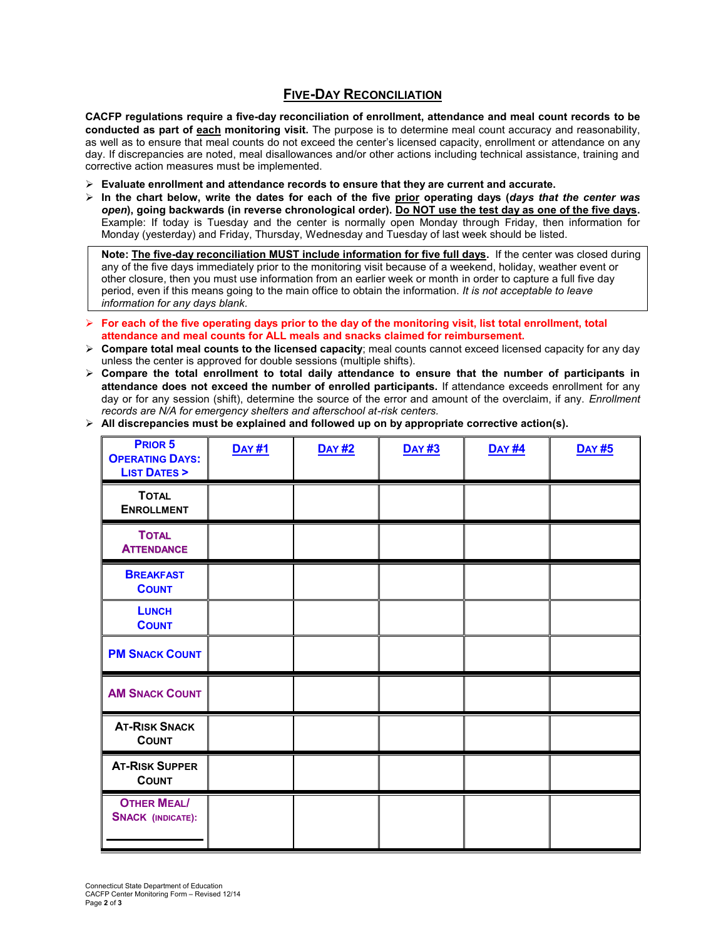## **FIVE-DAY RECONCILIATION**

**CACFP regulations require a five-day reconciliation of enrollment, attendance and meal count records to be conducted as part of each monitoring visit.** The purpose is to determine meal count accuracy and reasonability, as well as to ensure that meal counts do not exceed the center's licensed capacity, enrollment or attendance on any day. If discrepancies are noted, meal disallowances and/or other actions including technical assistance, training and corrective action measures must be implemented.

- **Evaluate enrollment and attendance records to ensure that they are current and accurate.**
- **In the chart below, write the dates for each of the five prior operating days (***days that the center was open***), going backwards (in reverse chronological order). Do NOT use the test day as one of the five days.**  Example: If today is Tuesday and the center is normally open Monday through Friday, then information for Monday (yesterday) and Friday, Thursday, Wednesday and Tuesday of last week should be listed.

**Note: The five-day reconciliation MUST include information for five full days.** If the center was closed during any of the five days immediately prior to the monitoring visit because of a weekend, holiday, weather event or other closure, then you must use information from an earlier week or month in order to capture a full five day period, even if this means going to the main office to obtain the information. *It is not acceptable to leave information for any days blank.*

- **For each of the five operating days prior to the day of the monitoring visit, list total enrollment, total attendance and meal counts for ALL meals and snacks claimed for reimbursement.**
- **Compare total meal counts to the licensed capacity**; meal counts cannot exceed licensed capacity for any day unless the center is approved for double sessions (multiple shifts).
- **Compare the total enrollment to total daily attendance to ensure that the number of participants in attendance does not exceed the number of enrolled participants.** If attendance exceeds enrollment for any day or for any session (shift), determine the source of the error and amount of the overclaim, if any. *Enrollment records are N/A for emergency shelters and afterschool at-risk centers.*

| PRIOR 5<br><b>OPERATING DAYS:</b><br><b>LIST DATES &gt;</b> | <b>DAY #1</b> | <b>DAY #2</b> | <b>DAY #3</b> | <b>DAY #4</b> | <b>DAY #5</b> |
|-------------------------------------------------------------|---------------|---------------|---------------|---------------|---------------|
| <b>TOTAL</b><br><b>ENROLLMENT</b>                           |               |               |               |               |               |
| <b>TOTAL</b><br><b>ATTENDANCE</b>                           |               |               |               |               |               |
| <b>BREAKFAST</b><br><b>COUNT</b>                            |               |               |               |               |               |
| <b>LUNCH</b><br><b>COUNT</b>                                |               |               |               |               |               |
| <b>PM SNACK COUNT</b>                                       |               |               |               |               |               |
| <b>AM SNACK COUNT</b>                                       |               |               |               |               |               |
| <b>AT-RISK SNACK</b><br><b>COUNT</b>                        |               |               |               |               |               |
| <b>AT-RISK SUPPER</b><br><b>COUNT</b>                       |               |               |               |               |               |
| <b>OTHER MEAL/</b><br><b>SNACK (INDICATE):</b>              |               |               |               |               |               |

**All discrepancies must be explained and followed up on by appropriate corrective action(s).**